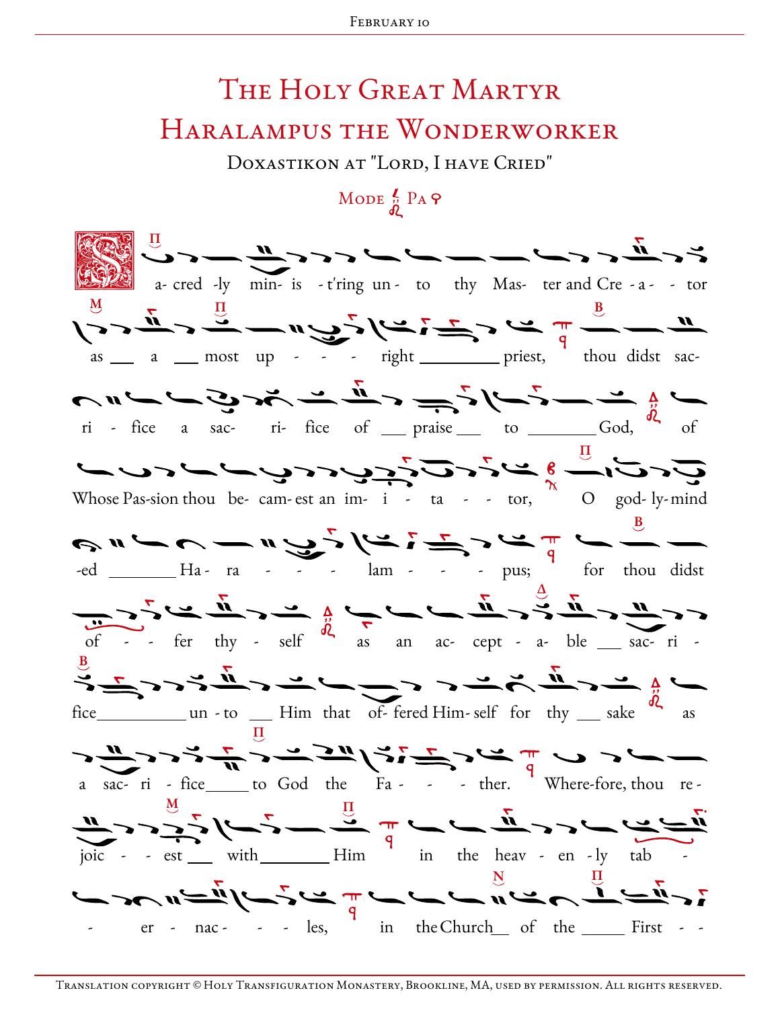## THE HOLY GREAT MARTYR HARALAMPUS THE WONDERWORKER

DOXASTIKON AT "LORD, I HAVE CRIED"

## MODE  $\frac{2}{9}$  PA  $\varphi$